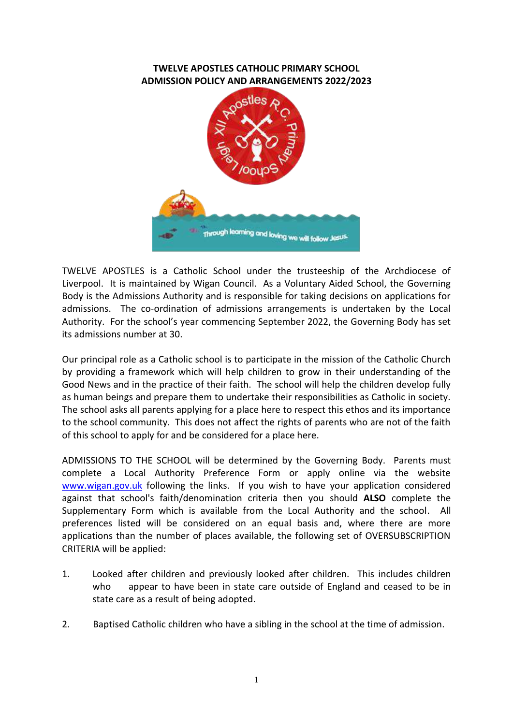## **TWELVE APOSTLES CATHOLIC PRIMARY SCHOOL ADMISSION POLICY AND ARRANGEMENTS 2022/2023**



TWELVE APOSTLES is a Catholic School under the trusteeship of the Archdiocese of Liverpool. It is maintained by Wigan Council. As a Voluntary Aided School, the Governing Body is the Admissions Authority and is responsible for taking decisions on applications for admissions. The co-ordination of admissions arrangements is undertaken by the Local Authority. For the school's year commencing September 2022, the Governing Body has set its admissions number at 30.

Our principal role as a Catholic school is to participate in the mission of the Catholic Church by providing a framework which will help children to grow in their understanding of the Good News and in the practice of their faith. The school will help the children develop fully as human beings and prepare them to undertake their responsibilities as Catholic in society. The school asks all parents applying for a place here to respect this ethos and its importance to the school community. This does not affect the rights of parents who are not of the faith of this school to apply for and be considered for a place here.

ADMISSIONS TO THE SCHOOL will be determined by the Governing Body. Parents must complete a Local Authority Preference Form or apply online via the website [www.wigan.gov.uk](http://www.wigan.gov.uk/) following the links. If you wish to have your application considered against that school's faith/denomination criteria then you should **ALSO** complete the Supplementary Form which is available from the Local Authority and the school. All preferences listed will be considered on an equal basis and, where there are more applications than the number of places available, the following set of OVERSUBSCRIPTION CRITERIA will be applied:

- 1. Looked after children and previously looked after children. This includes children who appear to have been in state care outside of England and ceased to be in state care as a result of being adopted.
- 2. Baptised Catholic children who have a sibling in the school at the time of admission.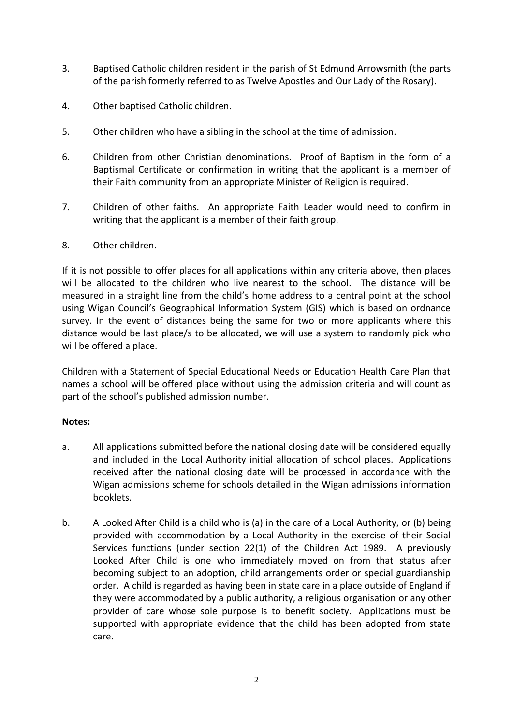- 3. Baptised Catholic children resident in the parish of St Edmund Arrowsmith (the parts of the parish formerly referred to as Twelve Apostles and Our Lady of the Rosary).
- 4. Other baptised Catholic children.
- 5. Other children who have a sibling in the school at the time of admission.
- 6. Children from other Christian denominations. Proof of Baptism in the form of a Baptismal Certificate or confirmation in writing that the applicant is a member of their Faith community from an appropriate Minister of Religion is required.
- 7. Children of other faiths. An appropriate Faith Leader would need to confirm in writing that the applicant is a member of their faith group.

## 8. Other children.

If it is not possible to offer places for all applications within any criteria above, then places will be allocated to the children who live nearest to the school. The distance will be measured in a straight line from the child's home address to a central point at the school using Wigan Council's Geographical Information System (GIS) which is based on ordnance survey. In the event of distances being the same for two or more applicants where this distance would be last place/s to be allocated, we will use a system to randomly pick who will be offered a place.

Children with a Statement of Special Educational Needs or Education Health Care Plan that names a school will be offered place without using the admission criteria and will count as part of the school's published admission number.

## **Notes:**

- a. All applications submitted before the national closing date will be considered equally and included in the Local Authority initial allocation of school places. Applications received after the national closing date will be processed in accordance with the Wigan admissions scheme for schools detailed in the Wigan admissions information booklets.
- b. A Looked After Child is a child who is (a) in the care of a Local Authority, or (b) being provided with accommodation by a Local Authority in the exercise of their Social Services functions (under section 22(1) of the Children Act 1989. A previously Looked After Child is one who immediately moved on from that status after becoming subject to an adoption, child arrangements order or special guardianship order. A child is regarded as having been in state care in a place outside of England if they were accommodated by a public authority, a religious organisation or any other provider of care whose sole purpose is to benefit society. Applications must be supported with appropriate evidence that the child has been adopted from state care.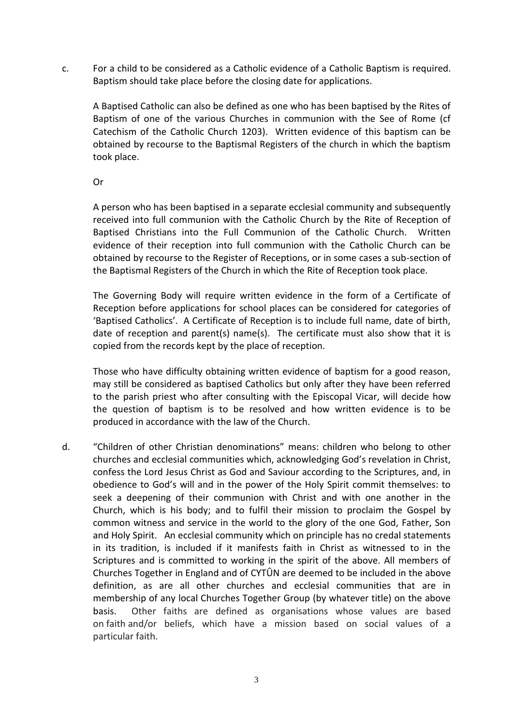c. For a child to be considered as a Catholic evidence of a Catholic Baptism is required. Baptism should take place before the closing date for applications.

A Baptised Catholic can also be defined as one who has been baptised by the Rites of Baptism of one of the various Churches in communion with the See of Rome (cf Catechism of the Catholic Church 1203). Written evidence of this baptism can be obtained by recourse to the Baptismal Registers of the church in which the baptism took place.

Or

A person who has been baptised in a separate ecclesial community and subsequently received into full communion with the Catholic Church by the Rite of Reception of Baptised Christians into the Full Communion of the Catholic Church. Written evidence of their reception into full communion with the Catholic Church can be obtained by recourse to the Register of Receptions, or in some cases a sub-section of the Baptismal Registers of the Church in which the Rite of Reception took place.

The Governing Body will require written evidence in the form of a Certificate of Reception before applications for school places can be considered for categories of 'Baptised Catholics'. A Certificate of Reception is to include full name, date of birth, date of reception and parent(s) name(s). The certificate must also show that it is copied from the records kept by the place of reception.

Those who have difficulty obtaining written evidence of baptism for a good reason, may still be considered as baptised Catholics but only after they have been referred to the parish priest who after consulting with the Episcopal Vicar, will decide how the question of baptism is to be resolved and how written evidence is to be produced in accordance with the law of the Church.

d. "Children of other Christian denominations" means: children who belong to other churches and ecclesial communities which, acknowledging God's revelation in Christ, confess the Lord Jesus Christ as God and Saviour according to the Scriptures, and, in obedience to God's will and in the power of the Holy Spirit commit themselves: to seek a deepening of their communion with Christ and with one another in the Church, which is his body; and to fulfil their mission to proclaim the Gospel by common witness and service in the world to the glory of the one God, Father, Son and Holy Spirit. An ecclesial community which on principle has no credal statements in its tradition, is included if it manifests faith in Christ as witnessed to in the Scriptures and is committed to working in the spirit of the above. All members of Churches Together in England and of CYTÛN are deemed to be included in the above definition, as are all other churches and ecclesial communities that are in membership of any local Churches Together Group (by whatever title) on the above basis. Other faiths are defined as organisations whose values are based on faith and/or beliefs, which have a mission based on social values of a particular faith.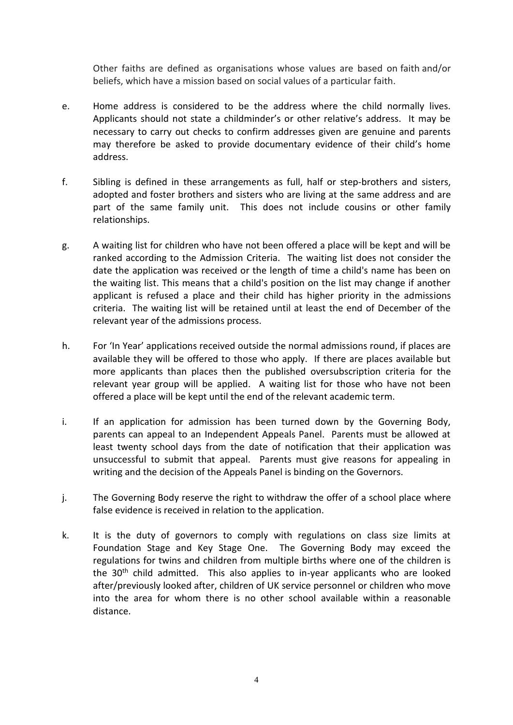Other faiths are defined as organisations whose values are based on faith and/or beliefs, which have a mission based on social values of a particular faith.

- e. Home address is considered to be the address where the child normally lives. Applicants should not state a childminder's or other relative's address. It may be necessary to carry out checks to confirm addresses given are genuine and parents may therefore be asked to provide documentary evidence of their child's home address.
- f. Sibling is defined in these arrangements as full, half or step-brothers and sisters, adopted and foster brothers and sisters who are living at the same address and are part of the same family unit. This does not include cousins or other family relationships.
- g. A waiting list for children who have not been offered a place will be kept and will be ranked according to the Admission Criteria. The waiting list does not consider the date the application was received or the length of time a child's name has been on the waiting list. This means that a child's position on the list may change if another applicant is refused a place and their child has higher priority in the admissions criteria. The waiting list will be retained until at least the end of December of the relevant year of the admissions process.
- h. For 'In Year' applications received outside the normal admissions round, if places are available they will be offered to those who apply. If there are places available but more applicants than places then the published oversubscription criteria for the relevant year group will be applied. A waiting list for those who have not been offered a place will be kept until the end of the relevant academic term.
- i. If an application for admission has been turned down by the Governing Body, parents can appeal to an Independent Appeals Panel. Parents must be allowed at least twenty school days from the date of notification that their application was unsuccessful to submit that appeal. Parents must give reasons for appealing in writing and the decision of the Appeals Panel is binding on the Governors.
- j. The Governing Body reserve the right to withdraw the offer of a school place where false evidence is received in relation to the application.
- k. It is the duty of governors to comply with regulations on class size limits at Foundation Stage and Key Stage One. The Governing Body may exceed the regulations for twins and children from multiple births where one of the children is the  $30<sup>th</sup>$  child admitted. This also applies to in-year applicants who are looked after/previously looked after, children of UK service personnel or children who move into the area for whom there is no other school available within a reasonable distance.